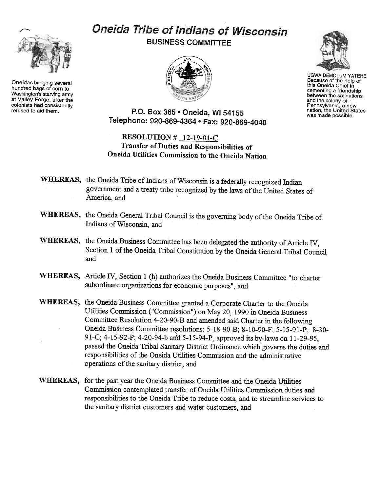## Oneida Tribe of Indians of Wisconsin BUSINESS COMMITTEE





UGWA DEMOLUM YATEHE Because of the help of this Oneida Chief in cementing a friendship between the six nations and the colony of Pennsylvania, a new nation, the United States was made possible.

P.O. Box 365 . Oneida, WI 54155 Telephone: 920-869-4364 · Fax: 920-869-4040

## RESOLUTION # 12-19-01-C Transfer of Duties and Responsibilities of Oneida Utilities Commission to the Oneida Nation

- WHEREAS, the Oneida Tribe of Indians of Wisconsin is a federally recognized Indian government and a treaty tribe recognized by the laws of the United States of America, and
- WHEREAS, the Oneida General Tribal Council is the governing body of the Oneida Tribe of Indians of Wisconsin, and
- WHEREAS, the Oneida Business Committee has been delegated the authority of Article IV, Section 1 of the Oneida Tribal Constitution by the Oneida General Tribal Council. and
- WHEREAS, Article IV, Section 1 (h) authorizes the Oneida Business Committee "to charter subordinate organizations for economic purposes", and
- WHEREAS, the Oneida Business Committee granted a Corporate Charter to the Oneida Utilities Commission ("Commission") on May 20, 1990 in Oneida Business Committee Resolution4-20-90-B and amended said Charter in the following Oneida Business Committee resolutions: 5-18-90-B; 8-10-90-F; 5-15-91-P; 8-30-91-C; 4-15-92-P; 4-20-94-b and 5-15-94-P, approved its by-laws on 11-29-95. passed the Oneida Tribal Sanitary District Ordinance which governs the duties and responsibilities of the Oneida Utilities Commission and the administrative operations of the sanitary district, and
- WHEREAS, for the past year the Oneida Business Committee and the Oneida Utilities Commission contemplated transfer of Oneida Utilities Commission duties and responsibilities to the Oneida Tribe to reduce costs, and to streamline services to the sanitary district customers and water customers, and



Oneidas bringing several hundred bags of corn to Washington's starving army at Valley Forge, after the colonists had consistently<br>refused to aid them.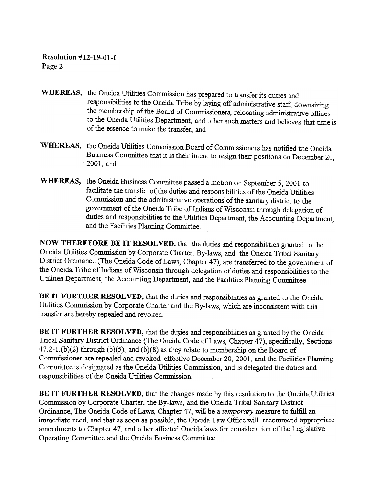Resolution #12-19-01-C Page 2

- WHEREAS, the Oneida Utilities Commission has prepared to transfer its duties and responsibilities to the Oneida Tribe by laying off administrative staff, downsizing the membership of the Board of Commissioners, relocating administrative offices to the Oneida Utilities Department, and other such matters and believes that time is of the essence to make the transfer, and
- WHEREAS, the Oneida Utilities Commission Board of Commissioners has notified the Oneida Husmess Committee that it is their intent to resign their positions on December 20, 2001, and
- WHEREAS, the Oneida Business Committee passed a motion on September 5, 2001 to facilitate the transfer of the duties and responsibilities of the Oneida Utilities Commission and the administrative operations of the sanitary district to the government of the Oneida Tribe of Indians of Wisconsin through delegation of duties and responsibilities to the Utilities Department, the Accounting Department, and the Facilities Planning Committee.

NOW THEREFORE BE IT RESOLVED, that the duties and responsibilities granted to the Oneida Utilities Commission by Corporate Charter, By-laws, and the Oneida Tribal Sanitary District Ordinance (The Oneida Code of Laws, Chapter 47), are transferred to the government of the Oneida Tribe of Indians of Wisconsin through delegation of duties and responsibilities to the Utilities pepartment, the Accounting Department, and the Facilities Planning Committee.

BE IT FURTHER RESOLVED, that the duties and responsibilities as granted to the Oneida Utilities Commission by Corporate Charter and the By-laws, which are inconsistent with this transfer are hereby repealed and revoked.

BE IT FURTHER RESOLVED, that the duties and responsibilities as granted by the Oneida Tribal Sanitary District Ordinance (The Oneida Code of Laws, Chapter 47), specifically, Sections  $47.2-1.$ (b)(2) through (b)(5), and (b)(8) as they relate to membership on the Board of Commissioner are repealed and revoked, effective December 20,2001, and the Facilities Planning Committee is designated as the Oneida Utilities Commission, and is delegated the duties and responsibilities of the Oneida Utilities Commission.

BE IT FURTHER RESOLVED, that the changes made by this resolution to the Oneida Utilities Commission by Corporate Charter, the By-laws, and the Oneida Tribal Sanitary District Ordinance, The Oneida Code of Laws, Chapter 47, will be a temporary measure to fulfill an immediate need, and that as soon as possible, the Oneida Law Office will recommend appropriate amendments to Chapter 47, and other affected Oneida laws for consideration of the Legislative Operating Committee and the Oneida Business Committee.